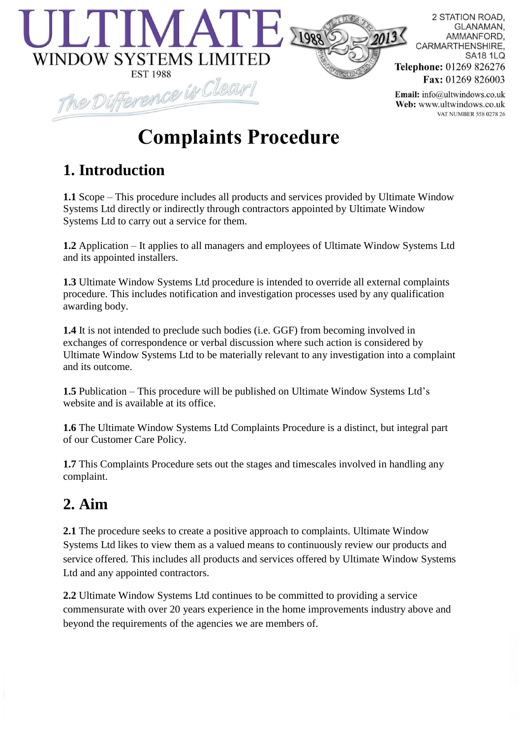

2 STATION ROAD. **GLANAMAN.** AMMANFORD. CARMARTHENSHIRE. **SA18 1LQ** Telephone: 01269 826276 Fax: 01269 826003

Email: info@ultwindows.co.uk Web: www.ultwindows.co.uk VAT NUMBER 558 0278 26

# **Complaints Procedure**

# **1. Introduction**

**1.1** Scope – This procedure includes all products and services provided by Ultimate Window Systems Ltd directly or indirectly through contractors appointed by Ultimate Window Systems Ltd to carry out a service for them.

**1.2** Application – It applies to all managers and employees of Ultimate Window Systems Ltd and its appointed installers.

**1.3** Ultimate Window Systems Ltd procedure is intended to override all external complaints procedure. This includes notification and investigation processes used by any qualification awarding body.

**1.4** It is not intended to preclude such bodies (i.e. GGF) from becoming involved in exchanges of correspondence or verbal discussion where such action is considered by Ultimate Window Systems Ltd to be materially relevant to any investigation into a complaint and its outcome.

**1.5** Publication – This procedure will be published on Ultimate Window Systems Ltd's website and is available at its office.

**1.6** The Ultimate Window Systems Ltd Complaints Procedure is a distinct, but integral part of our Customer Care Policy.

**1.7** This Complaints Procedure sets out the stages and timescales involved in handling any complaint.

# **2. Aim**

**2.1** The procedure seeks to create a positive approach to complaints. Ultimate Window Systems Ltd likes to view them as a valued means to continuously review our products and service offered. This includes all products and services offered by Ultimate Window Systems Ltd and any appointed contractors.

**2.2** Ultimate Window Systems Ltd continues to be committed to providing a service commensurate with over 20 years experience in the home improvements industry above and beyond the requirements of the agencies we are members of.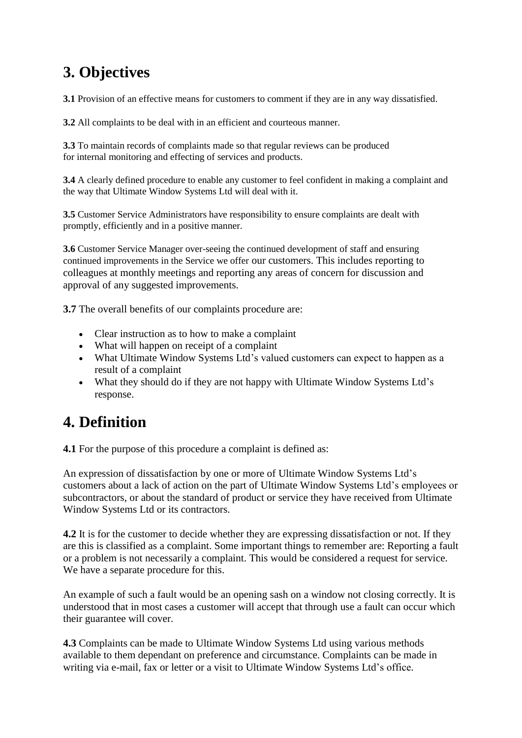### **3. Objectives**

**3.1** Provision of an effective means for customers to comment if they are in any way dissatisfied.

**3.2** All complaints to be deal with in an efficient and courteous manner.

**3.3** To maintain records of complaints made so that regular reviews can be produced for internal monitoring and effecting of services and products.

**3.4** A clearly defined procedure to enable any customer to feel confident in making a complaint and the way that Ultimate Window Systems Ltd will deal with it.

**3.5** Customer Service Administrators have responsibility to ensure complaints are dealt with promptly, efficiently and in a positive manner.

**3.6** Customer Service Manager over-seeing the continued development of staff and ensuring continued improvements in the Service we offer our customers. This includes reporting to colleagues at monthly meetings and reporting any areas of concern for discussion and approval of any suggested improvements.

**3.7** The overall benefits of our complaints procedure are:

- Clear instruction as to how to make a complaint
- What will happen on receipt of a complaint
- What Ultimate Window Systems Ltd's valued customers can expect to happen as a result of a complaint
- What they should do if they are not happy with Ultimate Window Systems Ltd's response.

#### **4. Definition**

**4.1** For the purpose of this procedure a complaint is defined as:

An expression of dissatisfaction by one or more of Ultimate Window Systems Ltd's customers about a lack of action on the part of Ultimate Window Systems Ltd's employees or subcontractors, or about the standard of product or service they have received from Ultimate Window Systems Ltd or its contractors.

**4.2** It is for the customer to decide whether they are expressing dissatisfaction or not. If they are this is classified as a complaint. Some important things to remember are: Reporting a fault or a problem is not necessarily a complaint. This would be considered a request for service. We have a separate procedure for this.

An example of such a fault would be an opening sash on a window not closing correctly. It is understood that in most cases a customer will accept that through use a fault can occur which their guarantee will cover.

**4.3** Complaints can be made to Ultimate Window Systems Ltd using various methods available to them dependant on preference and circumstance. Complaints can be made in writing via e-mail, fax or letter or a visit to Ultimate Window Systems Ltd's office.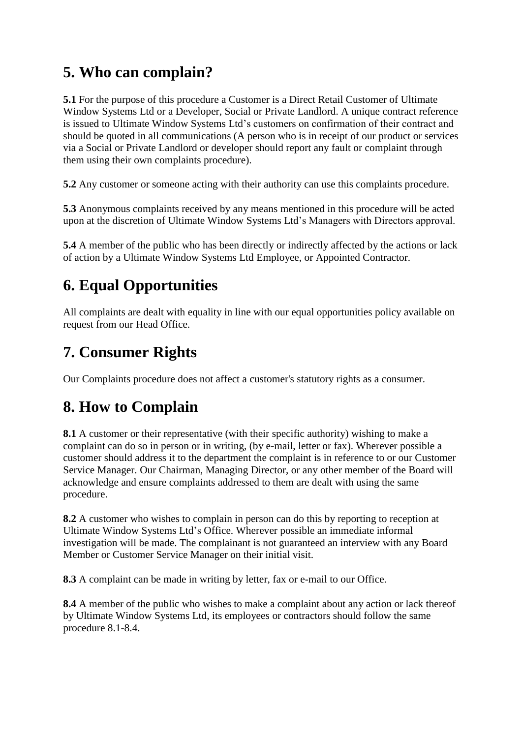### **5. Who can complain?**

**5.1** For the purpose of this procedure a Customer is a Direct Retail Customer of Ultimate Window Systems Ltd or a Developer, Social or Private Landlord. A unique contract reference is issued to Ultimate Window Systems Ltd's customers on confirmation of their contract and should be quoted in all communications (A person who is in receipt of our product or services via a Social or Private Landlord or developer should report any fault or complaint through them using their own complaints procedure).

**5.2** Any customer or someone acting with their authority can use this complaints procedure.

**5.3** Anonymous complaints received by any means mentioned in this procedure will be acted upon at the discretion of Ultimate Window Systems Ltd's Managers with Directors approval.

**5.4** A member of the public who has been directly or indirectly affected by the actions or lack of action by a Ultimate Window Systems Ltd Employee, or Appointed Contractor.

# **6. Equal Opportunities**

All complaints are dealt with equality in line with our equal opportunities policy available on request from our Head Office.

### **7. Consumer Rights**

Our Complaints procedure does not affect a customer's statutory rights as a consumer.

### **8. How to Complain**

**8.1** A customer or their representative (with their specific authority) wishing to make a complaint can do so in person or in writing, (by e-mail, letter or fax). Wherever possible a customer should address it to the department the complaint is in reference to or our Customer Service Manager. Our Chairman, Managing Director, or any other member of the Board will acknowledge and ensure complaints addressed to them are dealt with using the same procedure.

**8.2** A customer who wishes to complain in person can do this by reporting to reception at Ultimate Window Systems Ltd's Office. Wherever possible an immediate informal investigation will be made. The complainant is not guaranteed an interview with any Board Member or Customer Service Manager on their initial visit.

**8.3** A complaint can be made in writing by letter, fax or e-mail to our Office.

**8.4** A member of the public who wishes to make a complaint about any action or lack thereof by Ultimate Window Systems Ltd, its employees or contractors should follow the same procedure 8.1-8.4.